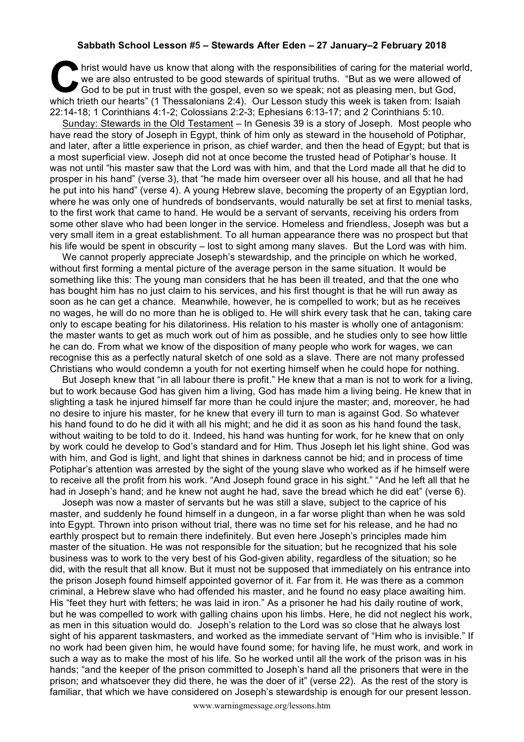## **Sabbath School Lesson #5 – Stewards After Eden – 27 January–2 February 2018**

hrist would have us know that along with the responsibilities of caring for the material world, we are also entrusted to be good stewards of spiritual truths. "But as we were allowed of God to be put in trust with the gosp we are also entrusted to be good stewards of spiritual truths. "But as we were allowed of God to be put in trust with the gospel, even so we speak; not as pleasing men, but God, which trieth our hearts" (1 Thessalonians 2:4). Our Lesson study this week is taken from: Isaiah 22:14-18; 1 Corinthians 4:1-2; Colossians 2:2-3; Ephesians 6:13-17; and 2 Corinthians 5:10.

Sunday: Stewards in the Old Testament – In Genesis 39 is a story of Joseph. Most people who have read the story of Joseph in Egypt, think of him only as steward in the household of Potiphar, and later, after a little experience in prison, as chief warder, and then the head of Egypt; but that is a most superficial view. Joseph did not at once become the trusted head of Potiphar's house. It was not until "his master saw that the Lord was with him, and that the Lord made all that he did to prosper in his hand" (verse 3), that "he made him overseer over all his house, and all that he had he put into his hand" (verse 4). A young Hebrew slave, becoming the property of an Egyptian lord, where he was only one of hundreds of bondservants, would naturally be set at first to menial tasks, to the first work that came to hand. He would be a servant of servants, receiving his orders from some other slave who had been longer in the service. Homeless and friendless, Joseph was but a very small item in a great establishment. To all human appearance there was no prospect but that his life would be spent in obscurity – lost to sight among many slaves. But the Lord was with him.

We cannot properly appreciate Joseph's stewardship, and the principle on which he worked, without first forming a mental picture of the average person in the same situation. It would be something like this: The young man considers that he has been ill treated, and that the one who has bought him has no just claim to his services, and his first thought is that he will run away as soon as he can get a chance. Meanwhile, however, he is compelled to work; but as he receives no wages, he will do no more than he is obliged to. He will shirk every task that he can, taking care only to escape beating for his dilatoriness. His relation to his master is wholly one of antagonism: the master wants to get as much work out of him as possible, and he studies only to see how little he can do. From what we know of the disposition of many people who work for wages, we can recognise this as a perfectly natural sketch of one sold as a slave. There are not many professed Christians who would condemn a youth for not exerting himself when he could hope for nothing.

But Joseph knew that "in all labour there is profit." He knew that a man is not to work for a living, but to work because God has given him a living, God has made him a living being. He knew that in slighting a task he injured himself far more than he could injure the master; and, moreover, he had no desire to injure his master, for he knew that every ill turn to man is against God. So whatever his hand found to do he did it with all his might; and he did it as soon as his hand found the task, without waiting to be told to do it. Indeed, his hand was hunting for work, for he knew that on only by work could he develop to God's standard and for Him. Thus Joseph let his light shine. God was with him, and God is light, and light that shines in darkness cannot be hid; and in process of time Potiphar's attention was arrested by the sight of the young slave who worked as if he himself were to receive all the profit from his work. "And Joseph found grace in his sight." "And he left all that he had in Joseph's hand; and he knew not aught he had, save the bread which he did eat" (verse 6).

Joseph was now a master of servants but he was still a slave, subject to the caprice of his master, and suddenly he found himself in a dungeon, in a far worse plight than when he was sold into Egypt. Thrown into prison without trial, there was no time set for his release, and he had no earthly prospect but to remain there indefinitely. But even here Joseph's principles made him master of the situation. He was not responsible for the situation; but he recognized that his sole business was to work to the very best of his God-given ability, regardless of the situation; so he did, with the result that all know. But it must not be supposed that immediately on his entrance into the prison Joseph found himself appointed governor of it. Far from it. He was there as a common criminal, a Hebrew slave who had offended his master, and he found no easy place awaiting him. His "feet they hurt with fetters; he was laid in iron." As a prisoner he had his daily routine of work, but he was compelled to work with galling chains upon his limbs. Here, he did not neglect his work, as men in this situation would do. Joseph's relation to the Lord was so close that he always lost sight of his apparent taskmasters, and worked as the immediate servant of "Him who is invisible." If no work had been given him, he would have found some; for having life, he must work, and work in such a way as to make the most of his life. So he worked until all the work of the prison was in his hands; "and the keeper of the prison committed to Joseph's hand all the prisoners that were in the prison; and whatsoever they did there, he was the doer of it" (verse 22). As the rest of the story is familiar, that which we have considered on Joseph's stewardship is enough for our present lesson.